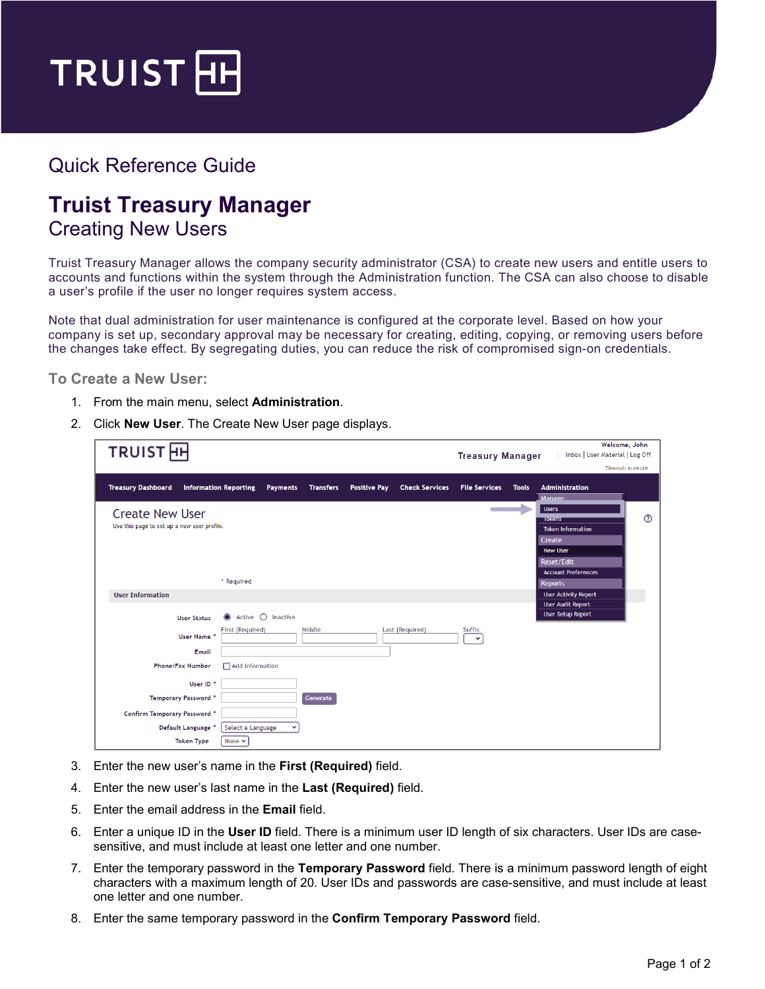

## Quick Reference Guide

## **Truist Treasury Manager** Creating New Users

Truist Treasury Manager allows the company security administrator (CSA) to create new users and entitle users to accounts and functions within the system through the Administration function. The CSA can also choose to disable a user's profile if the user no longer requires system access.

Note that dual administration for user maintenance is configured at the corporate level. Based on how your company is set up, secondary approval may be necessary for creating, editing, copying, or removing users before the changes take effect. By segregating duties, you can reduce the risk of compromised sign-on credentials.

**To Create a New User:**

- 1. From the main menu, select **Administration**.
- 2. Click **New User**. The Create New User page displays.

| <b>TRUIST</b> <sub>H</sub>                                                                                                                       | Welcome, John<br>Inbox   User Material   Log Off<br><b>Treasury Manager</b><br>Timeout: 0:26:38                                                   |
|--------------------------------------------------------------------------------------------------------------------------------------------------|---------------------------------------------------------------------------------------------------------------------------------------------------|
| <b>Treasury Dashboard</b><br><b>Information Reporting</b><br><b>Positive Pay</b><br><b>Check Services</b><br><b>Payments</b><br><b>Transfers</b> | <b>File Services</b><br><b>Administration</b><br><b>Tools</b><br><b>Manage</b>                                                                    |
| <b>Create New User</b><br>Use this page to set up a new user profile.                                                                            | <b>Users</b><br>$\circledR$<br><b>TOKENS</b><br><b>Token Information</b><br>Create<br><b>New User</b><br>Reset/Edit<br><b>Account Preferences</b> |
| * Required                                                                                                                                       | <b>Reports</b>                                                                                                                                    |
| <b>User Information</b><br>$\bigcirc$ Inactive<br>Active<br><b>User Status</b>                                                                   | <b>User Activity Report</b><br><b>User Audit Report</b><br><b>User Setup Report</b>                                                               |
| Middle<br>Last (Required)<br>First (Required)<br>User Name *<br>Email                                                                            | Suffix<br>$\checkmark$                                                                                                                            |
| <b>Phone/Fax Number</b><br>Add information<br>User ID <sup>*</sup>                                                                               |                                                                                                                                                   |
| <b>Temporary Password *</b><br>Generate                                                                                                          |                                                                                                                                                   |
| <b>Confirm Temporary Password *</b><br>Default Language *<br>Select a Language                                                                   |                                                                                                                                                   |
| <b>Token Type</b><br>None $\vee$                                                                                                                 |                                                                                                                                                   |

- 3. Enter the new user's name in the **First (Required)** field.
- 4. Enter the new user's last name in the **Last (Required)** field.
- 5. Enter the email address in the **Email** field.
- 6. Enter a unique ID in the **User ID** field. There is a minimum user ID length of six characters. User IDs are casesensitive, and must include at least one letter and one number.
- 7. Enter the temporary password in the **Temporary Password** field. There is a minimum password length of eight characters with a maximum length of 20. User IDs and passwords are case-sensitive, and must include at least one letter and one number.
- 8. Enter the same temporary password in the **Confirm Temporary Password** field.